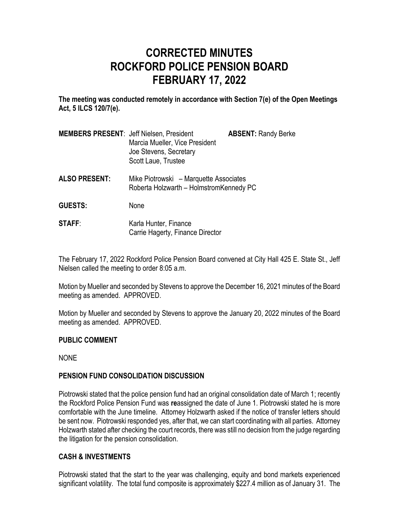# **CORRECTED MINUTES ROCKFORD POLICE PENSION BOARD FEBRUARY 17, 2022**

**The meeting was conducted remotely in accordance with Section 7(e) of the Open Meetings Act, 5 ILCS 120/7(e).**

| <b>MEMBERS PRESENT: Jeff Nielsen, President</b> | Marcia Mueller, Vice President<br>Joe Stevens, Secretary | <b>ABSENT: Randy Berke</b> |
|-------------------------------------------------|----------------------------------------------------------|----------------------------|
|                                                 | Scott Laue, Trustee                                      |                            |

- **ALSO PRESENT:** Mike Piotrowski Marquette Associates Roberta Holzwarth – HolmstromKennedy PC
- **GUESTS:** None
- **STAFF:** Karla Hunter, Finance Carrie Hagerty, Finance Director

The February 17, 2022 Rockford Police Pension Board convened at City Hall 425 E. State St., Jeff Nielsen called the meeting to order 8:05 a.m.

Motion by Mueller and seconded by Stevens to approve the December 16, 2021 minutes of the Board meeting as amended. APPROVED.

Motion by Mueller and seconded by Stevens to approve the January 20, 2022 minutes of the Board meeting as amended. APPROVED.

## **PUBLIC COMMENT**

NONE

# **PENSION FUND CONSOLIDATION DISCUSSION**

Piotrowski stated that the police pension fund had an original consolidation date of March 1; recently the Rockford Police Pension Fund was **re**assigned the date of June 1. Piotrowski stated he is more comfortable with the June timeline. Attorney Holzwarth asked if the notice of transfer letters should be sent now. Piotrowski responded yes, after that, we can start coordinating with all parties. Attorney Holzwarth stated after checking the court records, there was still no decision from the judge regarding the litigation for the pension consolidation.

## **CASH & INVESTMENTS**

Piotrowski stated that the start to the year was challenging, equity and bond markets experienced significant volatility. The total fund composite is approximately \$227.4 million as of January 31. The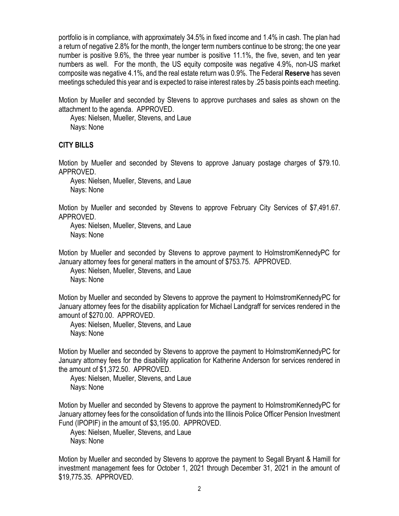portfolio is in compliance, with approximately 34.5% in fixed income and 1.4% in cash. The plan had a return of negative 2.8% for the month, the longer term numbers continue to be strong; the one year number is positive 9.6%, the three year number is positive 11.1%, the five, seven, and ten year numbers as well. For the month, the US equity composite was negative 4.9%, non-US market composite was negative 4.1%, and the real estate return was 0.9%. The Federal **Reserve** has seven meetings scheduled this year and is expected to raise interest rates by .25 basis points each meeting.

Motion by Mueller and seconded by Stevens to approve purchases and sales as shown on the attachment to the agenda. APPROVED.

Ayes: Nielsen, Mueller, Stevens, and Laue Nays: None

#### **CITY BILLS**

Motion by Mueller and seconded by Stevens to approve January postage charges of \$79.10. APPROVED.

Ayes: Nielsen, Mueller, Stevens, and Laue Nays: None

Motion by Mueller and seconded by Stevens to approve February City Services of \$7,491.67. APPROVED.

Ayes: Nielsen, Mueller, Stevens, and Laue Nays: None

Motion by Mueller and seconded by Stevens to approve payment to HolmstromKennedyPC for January attorney fees for general matters in the amount of \$753.75. APPROVED.

Ayes: Nielsen, Mueller, Stevens, and Laue Nays: None

Motion by Mueller and seconded by Stevens to approve the payment to HolmstromKennedyPC for January attorney fees for the disability application for Michael Landgraff for services rendered in the amount of \$270.00. APPROVED.

Ayes: Nielsen, Mueller, Stevens, and Laue Nays: None

Motion by Mueller and seconded by Stevens to approve the payment to HolmstromKennedyPC for January attorney fees for the disability application for Katherine Anderson for services rendered in the amount of \$1,372.50. APPROVED.

Ayes: Nielsen, Mueller, Stevens, and Laue Nays: None

Motion by Mueller and seconded by Stevens to approve the payment to HolmstromKennedyPC for January attorney fees for the consolidation of funds into the Illinois Police Officer Pension Investment Fund (IPOPIF) in the amount of \$3,195.00. APPROVED.

Ayes: Nielsen, Mueller, Stevens, and Laue Nays: None

Motion by Mueller and seconded by Stevens to approve the payment to Segall Bryant & Hamill for investment management fees for October 1, 2021 through December 31, 2021 in the amount of \$19,775.35. APPROVED.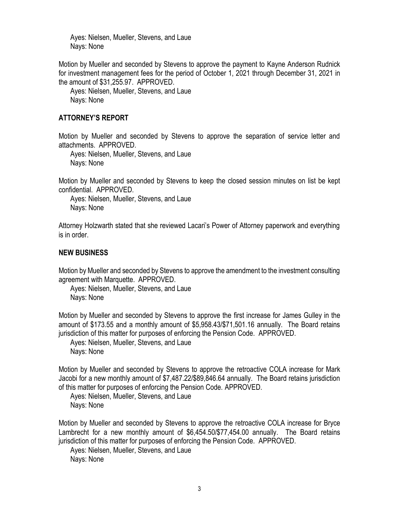Ayes: Nielsen, Mueller, Stevens, and Laue Nays: None

Motion by Mueller and seconded by Stevens to approve the payment to Kayne Anderson Rudnick for investment management fees for the period of October 1, 2021 through December 31, 2021 in the amount of \$31,255.97. APPROVED.

Ayes: Nielsen, Mueller, Stevens, and Laue Nays: None

#### **ATTORNEY'S REPORT**

Motion by Mueller and seconded by Stevens to approve the separation of service letter and attachments. APPROVED.

Ayes: Nielsen, Mueller, Stevens, and Laue Nays: None

Motion by Mueller and seconded by Stevens to keep the closed session minutes on list be kept confidential. APPROVED.

Ayes: Nielsen, Mueller, Stevens, and Laue Nays: None

Attorney Holzwarth stated that she reviewed Lacari's Power of Attorney paperwork and everything is in order.

## **NEW BUSINESS**

Motion by Mueller and seconded by Stevens to approve the amendment to the investment consulting agreement with Marquette. APPROVED.

Ayes: Nielsen, Mueller, Stevens, and Laue Nays: None

Motion by Mueller and seconded by Stevens to approve the first increase for James Gulley in the amount of \$173.55 and a monthly amount of \$5,958.43/\$71,501.16 annually. The Board retains jurisdiction of this matter for purposes of enforcing the Pension Code. APPROVED.

Ayes: Nielsen, Mueller, Stevens, and Laue Nays: None

Motion by Mueller and seconded by Stevens to approve the retroactive COLA increase for Mark Jacobi for a new monthly amount of \$7,487.22/\$89,846.64 annually. The Board retains jurisdiction of this matter for purposes of enforcing the Pension Code. APPROVED.

Ayes: Nielsen, Mueller, Stevens, and Laue Nays: None

Motion by Mueller and seconded by Stevens to approve the retroactive COLA increase for Bryce Lambrecht for a new monthly amount of \$6,454.50/\$77,454.00 annually. The Board retains jurisdiction of this matter for purposes of enforcing the Pension Code. APPROVED.

Ayes: Nielsen, Mueller, Stevens, and Laue Nays: None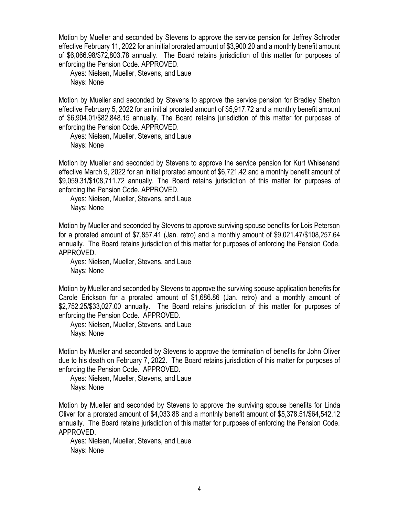Motion by Mueller and seconded by Stevens to approve the service pension for Jeffrey Schroder effective February 11, 2022 for an initial prorated amount of \$3,900.20 and a monthly benefit amount of \$6,066.98/\$72,803.78 annually. The Board retains jurisdiction of this matter for purposes of enforcing the Pension Code. APPROVED.

Ayes: Nielsen, Mueller, Stevens, and Laue Nays: None

Motion by Mueller and seconded by Stevens to approve the service pension for Bradley Shelton effective February 5, 2022 for an initial prorated amount of \$5,917.72 and a monthly benefit amount of \$6,904.01/\$82,848.15 annually. The Board retains jurisdiction of this matter for purposes of enforcing the Pension Code. APPROVED.

Ayes: Nielsen, Mueller, Stevens, and Laue Nays: None

Motion by Mueller and seconded by Stevens to approve the service pension for Kurt Whisenand effective March 9, 2022 for an initial prorated amount of \$6,721.42 and a monthly benefit amount of \$9,059.31/\$108,711.72 annually. The Board retains jurisdiction of this matter for purposes of enforcing the Pension Code. APPROVED.

Ayes: Nielsen, Mueller, Stevens, and Laue Nays: None

Motion by Mueller and seconded by Stevens to approve surviving spouse benefits for Lois Peterson for a prorated amount of \$7,857.41 (Jan. retro) and a monthly amount of \$9,021.47/\$108,257.64 annually. The Board retains jurisdiction of this matter for purposes of enforcing the Pension Code. APPROVED.

Ayes: Nielsen, Mueller, Stevens, and Laue Nays: None

Motion by Mueller and seconded by Stevens to approve the surviving spouse application benefits for Carole Erickson for a prorated amount of \$1,686.86 (Jan. retro) and a monthly amount of \$2,752.25/\$33,027.00 annually. The Board retains jurisdiction of this matter for purposes of enforcing the Pension Code. APPROVED.

Ayes: Nielsen, Mueller, Stevens, and Laue Nays: None

Motion by Mueller and seconded by Stevens to approve the termination of benefits for John Oliver due to his death on February 7, 2022. The Board retains jurisdiction of this matter for purposes of enforcing the Pension Code. APPROVED.

Ayes: Nielsen, Mueller, Stevens, and Laue Nays: None

Motion by Mueller and seconded by Stevens to approve the surviving spouse benefits for Linda Oliver for a prorated amount of \$4,033.88 and a monthly benefit amount of \$5,378.51/\$64,542.12 annually. The Board retains jurisdiction of this matter for purposes of enforcing the Pension Code. APPROVED.

Ayes: Nielsen, Mueller, Stevens, and Laue Nays: None